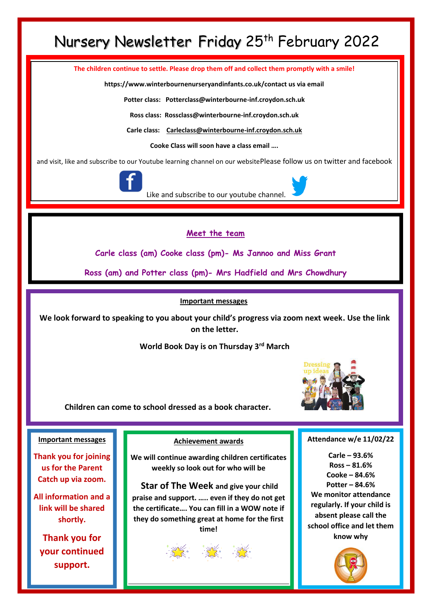### Nursery Newsletter Friday 25<sup>th</sup> February 2022

**The children continue to settle. Please drop them off and collect them promptly with a smile!**

**https://www.winterbournenurseryandinfants.co.uk/contact us via email**

**Potter class: Potterclass@winterbourne-inf.croydon.sch.uk**

**Ross class: Rossclass@winterbourne-inf.croydon.sch.uk**

**Carle class: [Carleclass@winterbourne-inf.croydon.sch.uk](mailto:Carleclass@winterbourne-inf.croydon.sch.uk)**

**Cooke Class will soon have a class email ….**

and visit, like and subscribe to our Youtube learning channel on our websitePlease follow us on twitter and facebook



Like and subscribe to our youtube channel.

**Meet the team**

**Carle class (am) Cooke class (pm)- Ms Jannoo and Miss Grant**

**Ross (am) and Potter class (pm)- Mrs Hadfield and Mrs Chowdhury**

#### **Important messages**

**We look forward to speaking to you about your child's progress via zoom next week. Use the link on the letter.**

**World Book Day is on Thursday 3rd March**



**Children can come to school dressed as a book character.**

#### **Important messages**

**Thank you for joining us for the Parent Catch up via zoom.**

**All information and a link will be shared shortly.**

**Thank you for your continued support.**

**Achievement awards**

**We will continue awarding children certificates weekly so look out for who will be**

**Star of The Week and give your child praise and support. ….. even if they do not get the certificate…. You can fill in a WOW note if they do something great at home for the first time!** 



**Attendance w/e 11/02/22**

**Carle – 93.6% Ross – 81.6% Cooke – 84.6% Potter – 84.6% We monitor attendance regularly. If your child is absent please call the school office and let them know why**